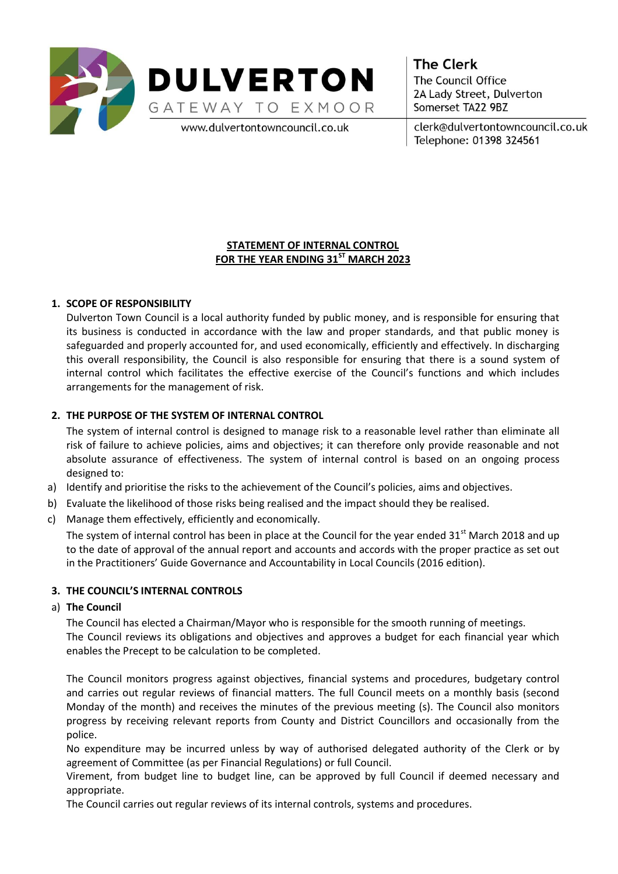

**The Clerk** The Council Office 2A Lady Street, Dulverton Somerset TA22 9BZ

clerk@dulvertontowncouncil.co.uk Telephone: 01398 324561

## **STATEMENT OF INTERNAL CONTROL FOR THE YEAR ENDING 31ST MARCH 2023**

# **1. SCOPE OF RESPONSIBILITY**

Dulverton Town Council is a local authority funded by public money, and is responsible for ensuring that its business is conducted in accordance with the law and proper standards, and that public money is safeguarded and properly accounted for, and used economically, efficiently and effectively. In discharging this overall responsibility, the Council is also responsible for ensuring that there is a sound system of internal control which facilitates the effective exercise of the Council's functions and which includes arrangements for the management of risk.

# **2. THE PURPOSE OF THE SYSTEM OF INTERNAL CONTROL**

The system of internal control is designed to manage risk to a reasonable level rather than eliminate all risk of failure to achieve policies, aims and objectives; it can therefore only provide reasonable and not absolute assurance of effectiveness. The system of internal control is based on an ongoing process designed to:

- a) Identify and prioritise the risks to the achievement of the Council's policies, aims and objectives.
- b) Evaluate the likelihood of those risks being realised and the impact should they be realised.
- c) Manage them effectively, efficiently and economically.

The system of internal control has been in place at the Council for the year ended  $31<sup>st</sup>$  March 2018 and up to the date of approval of the annual report and accounts and accords with the proper practice as set out in the Practitioners' Guide Governance and Accountability in Local Councils (2016 edition).

## **3. THE COUNCIL'S INTERNAL CONTROLS**

## a) **The Council**

The Council has elected a Chairman/Mayor who is responsible for the smooth running of meetings. The Council reviews its obligations and objectives and approves a budget for each financial year which enables the Precept to be calculation to be completed.

The Council monitors progress against objectives, financial systems and procedures, budgetary control and carries out regular reviews of financial matters. The full Council meets on a monthly basis (second Monday of the month) and receives the minutes of the previous meeting (s). The Council also monitors progress by receiving relevant reports from County and District Councillors and occasionally from the police.

No expenditure may be incurred unless by way of authorised delegated authority of the Clerk or by agreement of Committee (as per Financial Regulations) or full Council.

Virement, from budget line to budget line, can be approved by full Council if deemed necessary and appropriate.

The Council carries out regular reviews of its internal controls, systems and procedures.